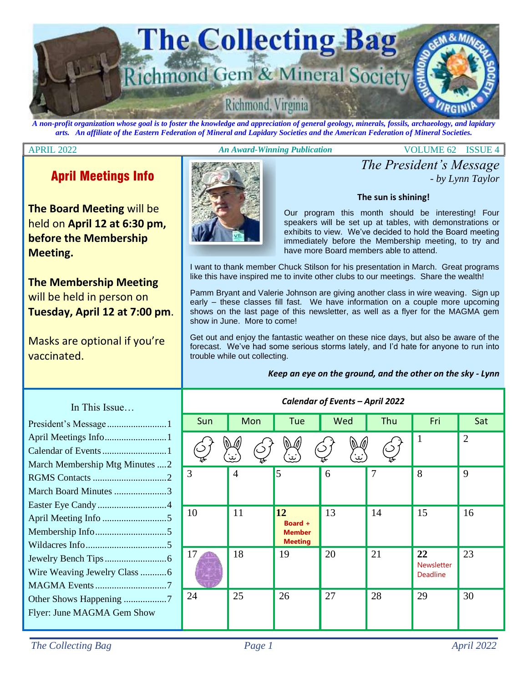

*A non-profit organization whose goal is to foster the knowledge and appreciation of general geology, minerals, fossils, archaeology, and lapidary arts. An affiliate of the Eastern Federation of Mineral and Lapidary Societies and the American Federation of Mineral Societies.*

#### APRIL 2022 *An Award-Winning Publication* VOLUME 62 ISSUE 4

## April Meetings Info

**The Board Meeting** will be held on **April 12 at 6:30 pm, before the Membership Meeting.**

**The Membership Meeting**  will be held in person on **Tuesday, April 12 at 7:00 pm**.

Masks are optional if you're vaccinated.



*The President's Message - by Lynn Taylor*

#### **The sun is shining!**

Our program this month should be interesting! Four speakers will be set up at tables, with demonstrations or exhibits to view. We've decided to hold the Board meeting immediately before the Membership meeting, to try and have more Board members able to attend.

I want to thank member Chuck Stilson for his presentation in March. Great programs like this have inspired me to invite other clubs to our meetings. Share the wealth!

Pamm Bryant and Valerie Johnson are giving another class in wire weaving. Sign up early – these classes fill fast. We have information on a couple more upcoming shows on the last page of this newsletter, as well as a flyer for the MAGMA gem show in June. More to come!

Get out and enjoy the fantastic weather on these nice days, but also be aware of the forecast. We've had some serious storms lately, and I'd hate for anyone to run into trouble while out collecting.

*Keep an eye on the ground, and the other on the sky - Lynn*

|                                                    | Calendar of Events - April 2022 |                      |                                                         |                 |     |                                     |                |  |
|----------------------------------------------------|---------------------------------|----------------------|---------------------------------------------------------|-----------------|-----|-------------------------------------|----------------|--|
| . 1                                                | Sun                             | Mon                  | Tue                                                     | Wed             | Thu | Fri                                 | Sat            |  |
| nutes $\dots 2$                                    |                                 | $\ddot{\bm{\omega}}$ | (n)<br>$\mathbf{w}$                                     | $\ddot{\omega}$ |     | $\mathbf{1}$                        | $\overline{2}$ |  |
| $\mathcal{D}_{\mathcal{L}}$<br>.<br>$\overline{4}$ | 3                               | $\overline{4}$       | $\overline{5}$                                          | 6               | 7   | 8                                   | 9              |  |
| $\overline{5}$<br>$\overline{5}$<br>.              | 10                              | 11                   | <b>12</b><br>Board +<br><b>Member</b><br><b>Meeting</b> | 13              | 14  | 15                                  | 16             |  |
| .6<br>.6<br>;<br>7                                 | 17                              | 18                   | 19                                                      | 20              | 21  | 22<br><b>Newsletter</b><br>Deadline | 23             |  |
| 7<br>how                                           | 24                              | 25                   | 26                                                      | 27              | 28  | 29                                  | 30             |  |

## In This Issue…

| President's Message1            |
|---------------------------------|
| April Meetings Info1            |
|                                 |
| March Membership Mtg Minutes  2 |
|                                 |
| March Board Minutes 3           |
|                                 |
|                                 |
|                                 |
|                                 |
|                                 |
| Wire Weaving Jewelry Class 6    |
|                                 |
| Other Shows Happening 7         |
| Flyer: June MAGMA Gem Show      |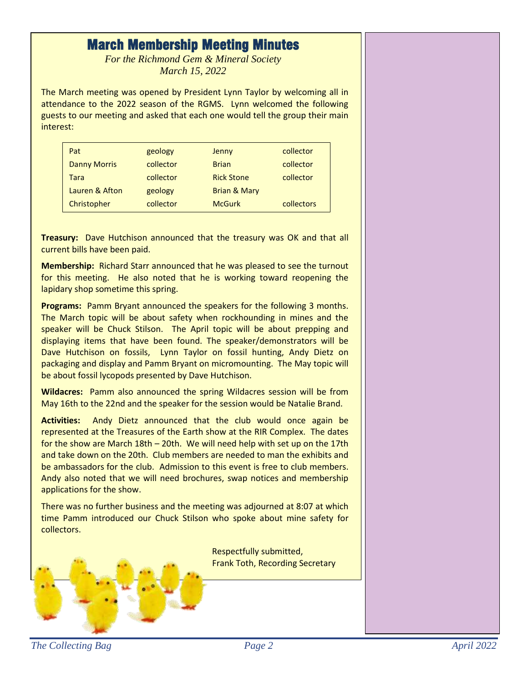## March Membership Meeting Minutes

*For the Richmond Gem & Mineral Society March 15, 2022*

The March meeting was opened by President Lynn Taylor by welcoming all in attendance to the 2022 season of the RGMS. Lynn welcomed the following guests to our meeting and asked that each one would tell the group their main interest:

| Pat                 | geology   | Jenny                   | collector         |
|---------------------|-----------|-------------------------|-------------------|
| <b>Danny Morris</b> | collector | <b>Brian</b>            | collector         |
| Tara                | collector | <b>Rick Stone</b>       | collector         |
| Lauren & Afton      | geology   | <b>Brian &amp; Mary</b> |                   |
| Christopher         | collector | <b>McGurk</b>           | <b>collectors</b> |

**Treasury:** Dave Hutchison announced that the treasury was OK and that all current bills have been paid.

**Membership:** Richard Starr announced that he was pleased to see the turnout for this meeting. He also noted that he is working toward reopening the lapidary shop sometime this spring.

**Programs:** Pamm Bryant announced the speakers for the following 3 months. The March topic will be about safety when rockhounding in mines and the speaker will be Chuck Stilson. The April topic will be about prepping and displaying items that have been found. The speaker/demonstrators will be Dave Hutchison on fossils, Lynn Taylor on fossil hunting, Andy Dietz on packaging and display and Pamm Bryant on micromounting. The May topic will be about fossil lycopods presented by Dave Hutchison.

**Wildacres:** Pamm also announced the spring Wildacres session will be from May 16th to the 22nd and the speaker for the session would be Natalie Brand.

**Activities:** Andy Dietz announced that the club would once again be represented at the Treasures of the Earth show at the RIR Complex. The dates for the show are March 18th – 20th. We will need help with set up on the 17th and take down on the 20th. Club members are needed to man the exhibits and be ambassadors for the club. Admission to this event is free to club members. Andy also noted that we will need brochures, swap notices and membership applications for the show.

There was no further business and the meeting was adjourned at 8:07 at which time Pamm introduced our Chuck Stilson who spoke about mine safety for collectors.

> Respectfully submitted, Frank Toth, Recording Secretary

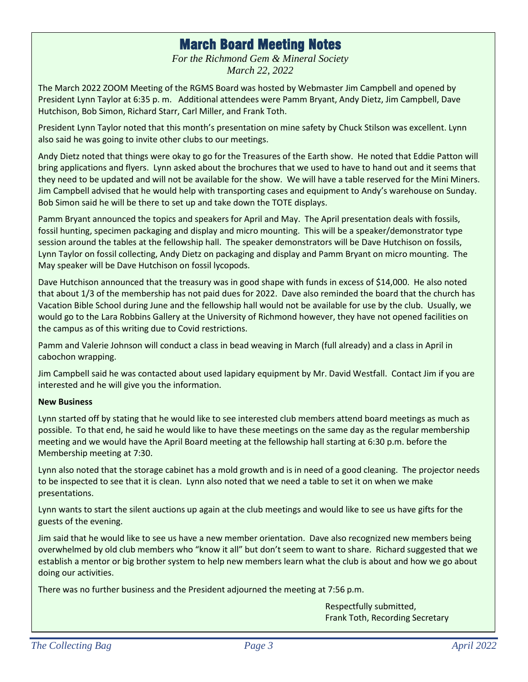## March Board Meeting Notes

*For the Richmond Gem & Mineral Society March 22, 2022*

The March 2022 ZOOM Meeting of the RGMS Board was hosted by Webmaster Jim Campbell and opened by President Lynn Taylor at 6:35 p. m. Additional attendees were Pamm Bryant, Andy Dietz, Jim Campbell, Dave Hutchison, Bob Simon, Richard Starr, Carl Miller, and Frank Toth.

President Lynn Taylor noted that this month's presentation on mine safety by Chuck Stilson was excellent. Lynn also said he was going to invite other clubs to our meetings.

Andy Dietz noted that things were okay to go for the Treasures of the Earth show. He noted that Eddie Patton will bring applications and flyers. Lynn asked about the brochures that we used to have to hand out and it seems that they need to be updated and will not be available for the show. We will have a table reserved for the Mini Miners. Jim Campbell advised that he would help with transporting cases and equipment to Andy's warehouse on Sunday. Bob Simon said he will be there to set up and take down the TOTE displays.

Pamm Bryant announced the topics and speakers for April and May. The April presentation deals with fossils, fossil hunting, specimen packaging and display and micro mounting. This will be a speaker/demonstrator type session around the tables at the fellowship hall. The speaker demonstrators will be Dave Hutchison on fossils, Lynn Taylor on fossil collecting, Andy Dietz on packaging and display and Pamm Bryant on micro mounting. The May speaker will be Dave Hutchison on fossil lycopods.

Dave Hutchison announced that the treasury was in good shape with funds in excess of \$14,000. He also noted that about 1/3 of the membership has not paid dues for 2022. Dave also reminded the board that the church has Vacation Bible School during June and the fellowship hall would not be available for use by the club. Usually, we would go to the Lara Robbins Gallery at the University of Richmond however, they have not opened facilities on the campus as of this writing due to Covid restrictions.

Pamm and Valerie Johnson will conduct a class in bead weaving in March (full already) and a class in April in cabochon wrapping.

Jim Campbell said he was contacted about used lapidary equipment by Mr. David Westfall. Contact Jim if you are interested and he will give you the information.

### **New Business**

Lynn started off by stating that he would like to see interested club members attend board meetings as much as possible. To that end, he said he would like to have these meetings on the same day as the regular membership meeting and we would have the April Board meeting at the fellowship hall starting at 6:30 p.m. before the Membership meeting at 7:30.

Lynn also noted that the storage cabinet has a mold growth and is in need of a good cleaning. The projector needs to be inspected to see that it is clean. Lynn also noted that we need a table to set it on when we make presentations.

Lynn wants to start the silent auctions up again at the club meetings and would like to see us have gifts for the guests of the evening.

Jim said that he would like to see us have a new member orientation. Dave also recognized new members being overwhelmed by old club members who "know it all" but don't seem to want to share. Richard suggested that we establish a mentor or big brother system to help new members learn what the club is about and how we go about doing our activities.

There was no further business and the President adjourned the meeting at 7:56 p.m.

Respectfully submitted, Frank Toth, Recording Secretary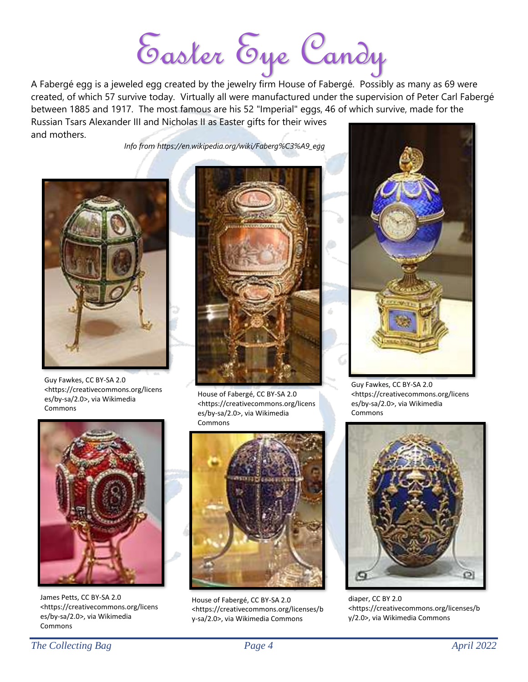Easter Eye Candy

A Fabergé egg is a jeweled egg created by the jewelry firm House of Fabergé. Possibly as many as 69 were created, of which 57 survive today. Virtually all were manufactured under the supervision of Peter Carl Fabergé between 1885 and 1917. The most famous are his 52 "Imperial" eggs, 46 of which survive, made for the Russian Tsars Alexander III and Nicholas II as Easter gifts for their wives and mothers.

*Info from [https://en.wikipedia.org/wiki/Faberg%C3%A9\\_egg](https://en.wikipedia.org/wiki/Faberg%C3%A9_egg)*



Guy Fawkes, CC BY-SA 2.0 <https://creativecommons.org/licens es/by-sa/2.0>, via Wikimedia Commons



James Petts, CC BY-SA 2.0 <https://creativecommons.org/licens es/by-sa/2.0>, via Wikimedia Commons



House of Fabergé, CC BY-SA 2.0 <https://creativecommons.org/licens es/by-sa/2.0>, via Wikimedia Commons



House of Fabergé, CC BY-SA 2.0 <https://creativecommons.org/licenses/b y-sa/2.0>, via Wikimedia Commons



Guy Fawkes, CC BY-SA 2.0 <https://creativecommons.org/licens es/by-sa/2.0>, via Wikimedia Commons



diaper, CC BY 2.0 <https://creativecommons.org/licenses/b y/2.0>, via Wikimedia Commons

*The Collecting Bag Page 4 April 2022*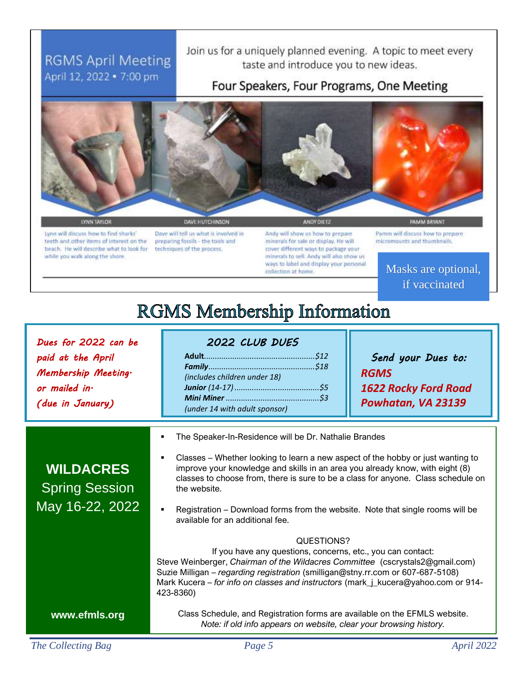## **RGMS April Meeting** April 12, 2022 . 7:00 pm

Join us for a uniquely planned evening. A topic to meet every taste and introduce you to new ideas.

## Four Speakers, Four Programs, One Meeting



LYNN TAYLOR

Lynn will discuss how to find sharks' teeth and other items of interest on the beach. He will describe what to look for while you walk along the shore.

Dave will tell us what is involved in preparing fossils - the tools and techniques of the process.

Andy will show us how to prepare minerals for sale or display. He will cover different ways to package your minerals to sell. Andy will also show us ways to label and display your personal collection at home

Pamm will discuss how to prepare micromounts and thumbnails.

> Masks are optional, if vaccinated

# **RGMS Membership Information**

*Dues for 2022 can be paid at the April Membership Meeting. or mailed in. (due in January) 2022 CLUB DUES*  **Adult***...................................................\$12 Family.................................................\$18 (includes children under 18) Junior (14-17).......................................\$5 Mini Miner ...........................................\$3 (under 14 with adult sponsor) Send your Dues to: RGMS 1622 Rocky Ford Road Powhatan, VA 23139* The Speaker-In-Residence will be Dr. Nathalie Brandes Classes – Whether looking to learn a new aspect of the hobby or just wanting to improve your knowledge and skills in an area you already know, with eight (8) classes to choose from, there is sure to be a class for anyone. Class schedule on the website. Registration – Download forms from the website. Note that single rooms will be available for an additional fee. QUESTIONS? If you have any questions, concerns, etc., you can contact: Steve Weinberger, *Chairman of the Wildacres Committee* (cscrystals2@gmail.com) Suzie Milligan – *regarding registration* (smilligan@stny.rr.com or 607-687-5108) Mark Kucera – *for info on classes and instructors* (mark\_j\_kucera@yahoo.com or 914- 423-8360) Class Schedule, and Registration forms are available on the EFMLS website. *Note: if old info appears on website, clear your browsing history.* **WILDACRES** Spring Session May 16-22, 2022 **www.efmls.org**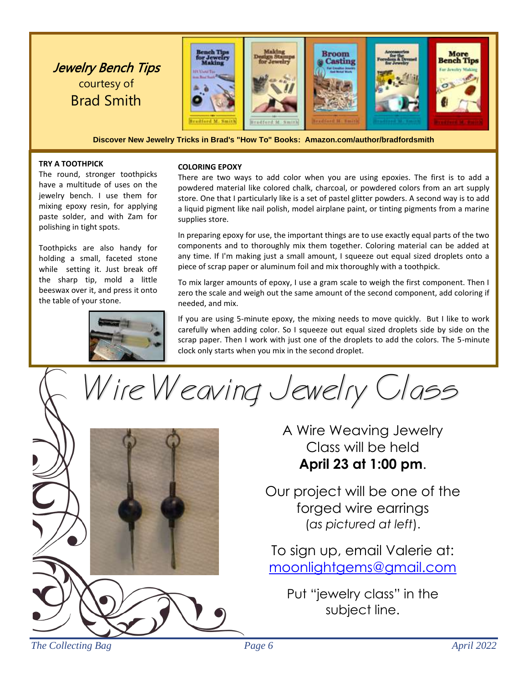

**Discover New Jewelry Tricks in Brad's "How To" Books: Amazon.com/author/bradfordsmith**

#### **TRY A TOOTHPICK**

The round, stronger toothpicks have a multitude of uses on the jewelry bench. I use them for mixing epoxy resin, for applying paste solder, and with Zam for polishing in tight spots.

Toothpicks are also handy for holding a small, faceted stone while setting it. Just break off the sharp tip, mold a little beeswax over it, and press it onto the table of your stone.



#### **COLORING EPOXY**

There are two ways to add color when you are using epoxies. The first is to add a powdered material like colored chalk, charcoal, or powdered colors from an art supply store. One that I particularly like is a set of pastel glitter powders. A second way is to add a liquid pigment like nail polish, model airplane paint, or tinting pigments from a marine supplies store.

In preparing epoxy for use, the important things are to use exactly equal parts of the two components and to thoroughly mix them together. Coloring material can be added at any time. If I'm making just a small amount, I squeeze out equal sized droplets onto a piece of scrap paper or aluminum foil and mix thoroughly with a toothpick.

To mix larger amounts of epoxy, I use a gram scale to weigh the first component. Then I zero the scale and weigh out the same amount of the second component, add coloring if needed, and mix.

If you are using 5-minute epoxy, the mixing needs to move quickly. But I like to work carefully when adding color. So I squeeze out equal sized droplets side by side on the scrap paper. Then I work with just one of the droplets to add the colors. The 5-minute clock only starts when you mix in the second droplet.

Wire Weaving Jewelry Class



A Wire Weaving Jewelry Class will be held **April 23 at 1:00 pm**.

Our project will be one of the forged wire earrings (*as pictured at left*).

To sign up, email Valerie at: [moonlightgems@gmail.com](mailto:moonlightgems@gmail.com)

Put "jewelry class" in the subject line.

*The Collecting Bag Page 6 April 2022*